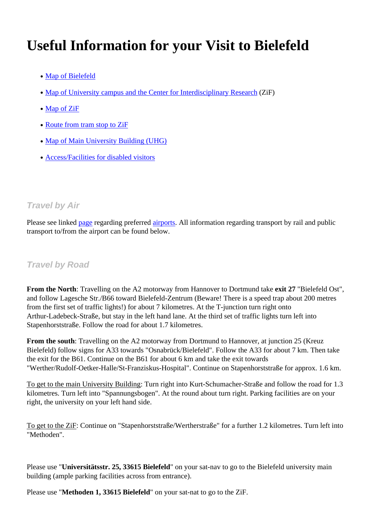# **Useful Information for your Visit to Bielefeld**

- Map of Bielefeld
- Map of University campus and the Center for Interdisciplinary Research (ZiF)
- [Map](https://stadtplan.bielefeld.de/#?sidebarStatus=closed&map=8,468152.5616,5764386.17546,EPSG:25832&layers=stadtplan_bi&groupOrder=kultur_freizeit_sport,parken_verkehr,schulen_kitas_behoerden,wms_uebernachten,wirtschaft_wissenschaft) [of](https://stadtplan.bielefeld.de/#?sidebarStatus=closed&map=8,468152.5616,5764386.17546,EPSG:25832&layers=stadtplan_bi&groupOrder=kultur_freizeit_sport,parken_verkehr,schulen_kitas_behoerden,wms_uebernachten,wirtschaft_wissenschaft) [ZiF](https://stadtplan.bielefeld.de/#?sidebarStatus=closed&map=8,468152.5616,5764386.17546,EPSG:25832&layers=stadtplan_bi&groupOrder=kultur_freizeit_sport,parken_verkehr,schulen_kitas_behoerden,wms_uebernachten,wirtschaft_wissenschaft)
- [Route](https://129.70.124.45/fileadmin/user_upload/Mat_Phys/Workshops/ZiF_Summer_School_2022/Campusplan-PDF-Neu.pdf) [fr](https://129.70.124.45/fileadmin/user_upload/Mat_Phys/Workshops/ZiF_Summer_School_2022/Campusplan-PDF-Neu.pdf)om [tram](https://129.70.124.45/fileadmin/user_upload/Mat_Phys/Workshops/ZiF_Summer_School_2022/Campusplan-PDF-Neu.pdf) s[top](https://129.70.124.45/fileadmin/user_upload/Mat_Phys/Workshops/ZiF_Summer_School_2022/Campusplan-PDF-Neu.pdf) to Z[iF](https://129.70.124.45/fileadmin/user_upload/Mat_Phys/Workshops/ZiF_Summer_School_2022/Campusplan-PDF-Neu.pdf)
- [Map](https://www.uni-bielefeld.de/(en)/ZiF/Allgemeines/campusplan_zif.html) [of](https://www.uni-bielefeld.de/(en)/ZiF/Allgemeines/campusplan_zif.html) [Mai](https://www.uni-bielefeld.de/(en)/ZiF/Allgemeines/campusplan_zif.html)n University Building (UHG)
- [Access/Facilities](https://129.70.124.45/fileadmin/user_upload/Mat_Phys/Workshops/ZiF_Summer_School_2022/Haltestellen_zif.pdf) [for](https://129.70.124.45/fileadmin/user_upload/Mat_Phys/Workshops/ZiF_Summer_School_2022/Haltestellen_zif.pdf) [disabled](https://129.70.124.45/fileadmin/user_upload/Mat_Phys/Workshops/ZiF_Summer_School_2022/Haltestellen_zif.pdf) visitors

## *Travel by Air*

Please see linked page regarding preferred airports. All information regarding transport by rail and public transport to/from the airport can be found below.

## *Travel by Road*

**From the North**: Travelling on the A2 motorway from Hannover to Dortmund take **exit 27** "Bielefeld Ost", and follow Lagesche Str./B66 toward Bielefeld-Zentrum (Beware! There is a speed trap about 200 metres from the first set of traffic lights!) for about 7 kilometres. At the T-junction turn right onto Arthur-Ladebeck-Straße, but stay in the left hand lane. At the third set of traffic lights turn left into Stapenhorststraße. Follow the road for about 1.7 kilometres.

**From the south**: Travelling on the A2 motorway from Dortmund to Hannover, at junction 25 (Kreuz Bielefeld) follow signs for A33 towards "Osnabrück/Bielefeld". Follow the A33 for about 7 km. Then take the exit for the B61. Continue on the B61 for about 6 km and take the exit towards "Werther/Rudolf-Oetker-Halle/St-Franziskus-Hospital". Continue on Stapenhorststraße for approx. 1.6 km.

To get to the main University Building: Turn right into Kurt-Schumacher-Straße and follow the road for 1.3 kilometres. Turn left into "Spannungsbogen". At the round about turn right. Parking facilities are on your right, the university on your left hand side.

To get to the ZiF: Continue on "Stapenhorststraße/Wertherstraße" for a further 1.2 kilometres. Turn left into "Methoden".

Please use "**Universitätsstr. 25, 33615 Bielefeld**" on your sat-nav to go to the Bielefeld university main building (ample parking facilities across from entrance).

Please use "**Methoden 1, 33615 Bielefeld**" on your sat-nat to go to the ZiF.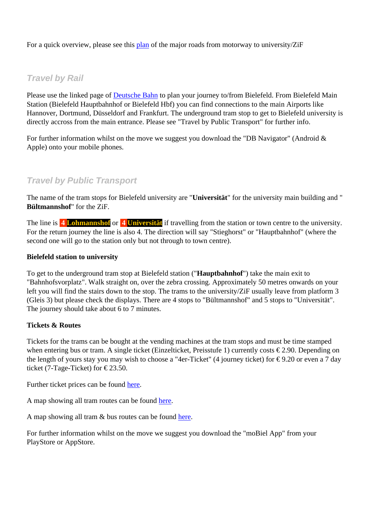For a quick overview, please see this plan of the major roads from motorway to university/ZiF

## *Travel by Rail*

Please use the linked page of **Deutsche Bahn** to plan your journey to/from Bielefeld. From Bielefeld Main Station (Bielefeld Hauptbahnhof or Bielefeld Hbf) you can find connections to the main Airports like Hannover, Dortmund, Düsseldorf and Frankfurt. The underground tram stop to get to Bielefeld university is directly accross from the main [entrance](https://www.bahn.com/). [Plea](https://www.bahn.com/)se see "Travel by Public Transport" for further info.

For further information whilst on the move we suggest you download the "DB Navigator" (Android  $\&$ Apple) onto your mobile phones.

#### *Travel by Public Transport*

The name of the tram stops for Bielefeld university are "**Universität**" for the university main building and " **Bültmannshof**" for the ZiF.

The line is **4 Lohmannshof** or **4 Universität** if travelling from the station or town centre to the university. For the return journey the line is also 4. The direction will say "Stieghorst" or "Hauptbahnhof" (where the second one will go to the station only but not through to town centre).

#### **Bielefeld station to university**

To get to the underground tram stop at Bielefeld station ("**Hauptbahnhof**") take the main exit to "Bahnhofsvorplatz". Walk straight on, over the zebra crossing. Approximately 50 metres onwards on your left you will find the stairs down to the stop. The trams to the university/ZiF usually leave from platform 3 (Gleis 3) but please check the displays. There are 4 stops to "Bültmannshof" and 5 stops to "Universität". The journey should take about 6 to 7 minutes.

#### **Tickets & Routes**

Tickets for the trams can be bought at the vending machines at the tram stops and must be time stamped when entering bus or tram. A single ticket (Einzelticket, Preisstufe 1) currently costs  $\epsilon$ 2.90. Depending on the length of yours stay you may wish to choose a "4er-Ticket" (4 journey ticket) for  $\epsilon$ 9.20 or even a 7 day ticket (7-Tage-Ticket) for  $\epsilon$ 23.50.

Further ticket prices can be found here.

A map showing all tram routes can be found here.

A map showing all tram & bus ro[utes](https://129.70.124.45/fileadmin/user_upload/Mat_Phys/Workshops/ZiF_Summer_School_2022/20211028-MobielPriceList.pdf) can be found here.

For further information whilst on the move we [su](https://129.70.124.45/fileadmin/user_upload/Mat_Phys/Workshops/ZiF_Summer_School_2022/20211028-StadtBahn-Netz.pdf)ggest you download the "moBiel App" from your PlayStore or AppStore.